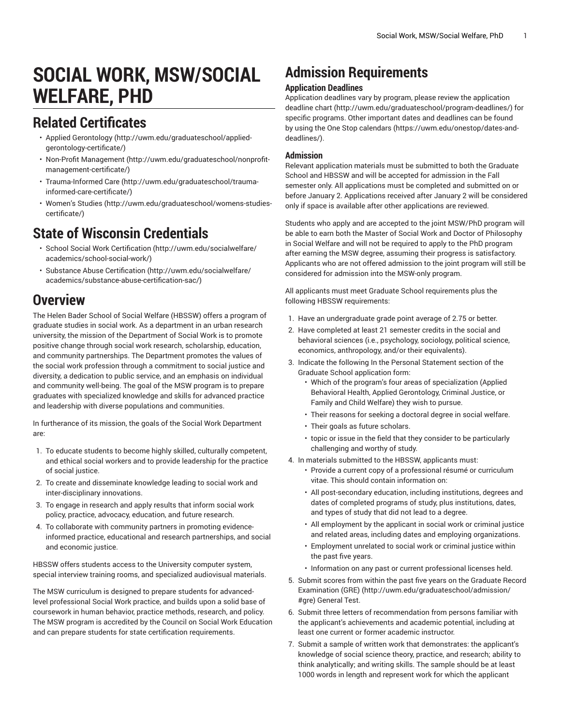# **SOCIAL WORK, MSW/SOCIAL WELFARE, PHD**

### **Related Certificates**

- Applied [Gerontology](http://uwm.edu/graduateschool/applied-gerontology-certificate/) ([http://uwm.edu/graduateschool/applied](http://uwm.edu/graduateschool/applied-gerontology-certificate/)[gerontology-certificate/\)](http://uwm.edu/graduateschool/applied-gerontology-certificate/)
- Non-Profit [Management](http://uwm.edu/graduateschool/nonprofit-management-certificate/) ([http://uwm.edu/graduateschool/nonprofit](http://uwm.edu/graduateschool/nonprofit-management-certificate/)[management-certificate/](http://uwm.edu/graduateschool/nonprofit-management-certificate/))
- [Trauma-Informed](http://uwm.edu/graduateschool/trauma-informed-care-certificate/) Care [\(http://uwm.edu/graduateschool/trauma](http://uwm.edu/graduateschool/trauma-informed-care-certificate/)[informed-care-certificate/\)](http://uwm.edu/graduateschool/trauma-informed-care-certificate/)
- [Women's](http://uwm.edu/graduateschool/womens-studies-certificate/) Studies ([http://uwm.edu/graduateschool/womens-studies](http://uwm.edu/graduateschool/womens-studies-certificate/)[certificate/](http://uwm.edu/graduateschool/womens-studies-certificate/))

# **State of Wisconsin Credentials**

- School Social Work [Certification](http://uwm.edu/socialwelfare/academics/school-social-work/) ([http://uwm.edu/socialwelfare/](http://uwm.edu/socialwelfare/academics/school-social-work/) [academics/school-social-work/](http://uwm.edu/socialwelfare/academics/school-social-work/))
- Substance Abuse [Certification \(http://uwm.edu/socialwelfare/](http://uwm.edu/socialwelfare/academics/substance-abuse-certification-sac/) [academics/substance-abuse-certification-sac/\)](http://uwm.edu/socialwelfare/academics/substance-abuse-certification-sac/)

## **Overview**

The Helen Bader School of Social Welfare (HBSSW) offers a program of graduate studies in social work. As a department in an urban research university, the mission of the Department of Social Work is to promote positive change through social work research, scholarship, education, and community partnerships. The Department promotes the values of the social work profession through a commitment to social justice and diversity, a dedication to public service, and an emphasis on individual and community well-being. The goal of the MSW program is to prepare graduates with specialized knowledge and skills for advanced practice and leadership with diverse populations and communities.

In furtherance of its mission, the goals of the Social Work Department are:

- 1. To educate students to become highly skilled, culturally competent, and ethical social workers and to provide leadership for the practice of social justice.
- 2. To create and disseminate knowledge leading to social work and inter-disciplinary innovations.
- 3. To engage in research and apply results that inform social work policy, practice, advocacy, education, and future research.
- 4. To collaborate with community partners in promoting evidenceinformed practice, educational and research partnerships, and social and economic justice.

HBSSW offers students access to the University computer system, special interview training rooms, and specialized audiovisual materials.

The MSW curriculum is designed to prepare students for advancedlevel professional Social Work practice, and builds upon a solid base of coursework in human behavior, practice methods, research, and policy. The MSW program is accredited by the Council on Social Work Education and can prepare students for state certification requirements.

# **Admission Requirements**

### **Application Deadlines**

Application deadlines vary by program, please review the [application](http://uwm.edu/graduateschool/program-deadlines/) [deadline](http://uwm.edu/graduateschool/program-deadlines/) chart [\(http://uwm.edu/graduateschool/program-deadlines/\)](http://uwm.edu/graduateschool/program-deadlines/) for specific programs. Other important dates and deadlines can be found by using the [One Stop calendars](https://uwm.edu/onestop/dates-and-deadlines/) [\(https://uwm.edu/onestop/dates-and](https://uwm.edu/onestop/dates-and-deadlines/)[deadlines/](https://uwm.edu/onestop/dates-and-deadlines/)).

### **Admission**

Relevant application materials must be submitted to both the Graduate School and HBSSW and will be accepted for admission in the Fall semester only. All applications must be completed and submitted on or before January 2. Applications received after January 2 will be considered only if space is available after other applications are reviewed.

Students who apply and are accepted to the joint MSW/PhD program will be able to earn both the Master of Social Work and Doctor of Philosophy in Social Welfare and will not be required to apply to the PhD program after earning the MSW degree, assuming their progress is satisfactory. Applicants who are not offered admission to the joint program will still be considered for admission into the MSW-only program.

All applicants must meet Graduate School requirements plus the following HBSSW requirements:

- 1. Have an undergraduate grade point average of 2.75 or better.
- 2. Have completed at least 21 semester credits in the social and behavioral sciences (i.e., psychology, sociology, political science, economics, anthropology, and/or their equivalents).
- 3. Indicate the following In the Personal Statement section of the Graduate School application form:
	- Which of the program's four areas of specialization (Applied Behavioral Health, Applied Gerontology, Criminal Justice, or Family and Child Welfare) they wish to pursue.
	- Their reasons for seeking a doctoral degree in social welfare.
	- Their goals as future scholars.
	- topic or issue in the field that they consider to be particularly challenging and worthy of study.
- 4. In materials submitted to the HBSSW, applicants must:
	- Provide a current copy of a professional résumé or curriculum vitae. This should contain information on:
	- All post-secondary education, including institutions, degrees and dates of completed programs of study, plus institutions, dates, and types of study that did not lead to a degree.
	- All employment by the applicant in social work or criminal justice and related areas, including dates and employing organizations.
	- Employment unrelated to social work or criminal justice within the past five years.
	- Information on any past or current professional licenses held.
- 5. Submit scores from within the past five years on the [Graduate](http://uwm.edu/graduateschool/admission/#gre) Record [Examination \(GRE\)](http://uwm.edu/graduateschool/admission/#gre) ([http://uwm.edu/graduateschool/admission/](http://uwm.edu/graduateschool/admission/#gre) [#gre\)](http://uwm.edu/graduateschool/admission/#gre) General Test.
- 6. Submit three letters of recommendation from persons familiar with the applicant's achievements and academic potential, including at least one current or former academic instructor.
- 7. Submit a sample of written work that demonstrates: the applicant's knowledge of social science theory, practice, and research; ability to think analytically; and writing skills. The sample should be at least 1000 words in length and represent work for which the applicant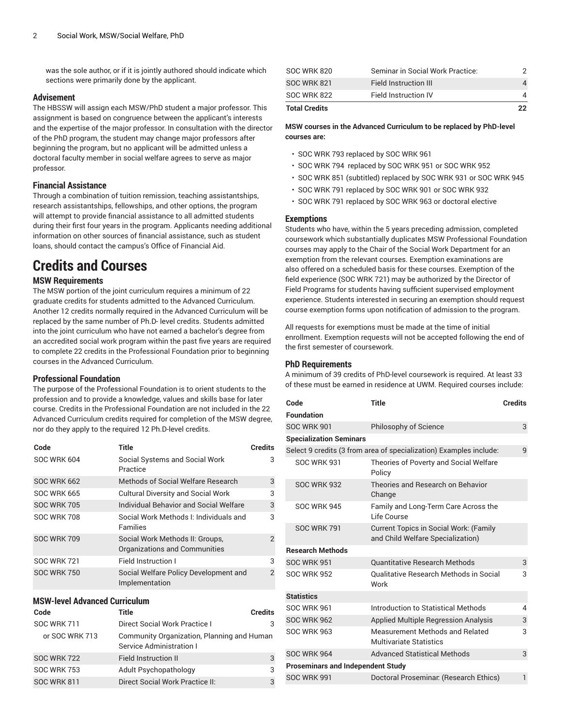was the sole author, or if it is jointly authored should indicate which sections were primarily done by the applicant.

#### **Advisement**

The HBSSW will assign each MSW/PhD student a major professor. This assignment is based on congruence between the applicant's interests and the expertise of the major professor. In consultation with the director of the PhD program, the student may change major professors after beginning the program, but no applicant will be admitted unless a doctoral faculty member in social welfare agrees to serve as major professor.

#### **Financial Assistance**

Through a combination of tuition remission, teaching assistantships, research assistantships, fellowships, and other options, the program will attempt to provide financial assistance to all admitted students during their first four years in the program. Applicants needing additional information on other sources of financial assistance, such as student loans, should contact the campus's Office of Financial Aid.

# **Credits and Courses**

#### **MSW Requirements**

The MSW portion of the joint curriculum requires a minimum of 22 graduate credits for students admitted to the Advanced Curriculum. Another 12 credits normally required in the Advanced Curriculum will be replaced by the same number of Ph.D- level credits. Students admitted into the joint curriculum who have not earned a bachelor's degree from an accredited social work program within the past five years are required to complete 22 credits in the Professional Foundation prior to beginning courses in the Advanced Curriculum.

#### **Professional Foundation**

The purpose of the Professional Foundation is to orient students to the profession and to provide a knowledge, values and skills base for later course. Credits in the Professional Foundation are not included in the 22 Advanced Curriculum credits required for completion of the MSW degree, nor do they apply to the required 12 Ph.D-level credits.

| Code               | <b>Title</b>                                                     | <b>Credits</b> |
|--------------------|------------------------------------------------------------------|----------------|
| <b>SOC WRK 604</b> | Social Systems and Social Work<br>Practice                       | 3              |
| <b>SOC WRK 662</b> | Methods of Social Welfare Research                               | 3              |
| <b>SOC WRK 665</b> | <b>Cultural Diversity and Social Work</b>                        | 3              |
| <b>SOC WRK 705</b> | Individual Behavior and Social Welfare                           | 3              |
| <b>SOC WRK 708</b> | Social Work Methods I: Individuals and<br><b>Families</b>        | 3              |
| <b>SOC WRK 709</b> | Social Work Methods II: Groups,<br>Organizations and Communities | 2              |
| <b>SOC WRK 721</b> | <b>Field Instruction I</b>                                       | 3              |
| <b>SOC WRK 750</b> | Social Welfare Policy Development and<br>Implementation          | $\overline{2}$ |

#### **MSW-level Advanced Curriculum**

| Code               | Title                                                                  | <b>Credits</b> |
|--------------------|------------------------------------------------------------------------|----------------|
| <b>SOC WRK 711</b> | Direct Social Work Practice I                                          | 3              |
| or SOC WRK 713     | Community Organization, Planning and Human<br>Service Administration I |                |
| <b>SOC WRK 722</b> | <b>Field Instruction II</b>                                            | 3              |
| <b>SOC WRK 753</b> | Adult Psychopathology                                                  | 3              |
| <b>SOC WRK 811</b> | Direct Social Work Practice II:                                        | 3              |

| <b>Total Credits</b> |                                  |   |
|----------------------|----------------------------------|---|
| <b>SOC WRK 822</b>   | <b>Field Instruction IV</b>      | 4 |
| <b>SOC WRK 821</b>   | <b>Field Instruction III</b>     | 4 |
| <b>SOC WRK 820</b>   | Seminar in Social Work Practice: |   |

**MSW courses in the Advanced Curriculum to be replaced by PhD-level courses are:**

- SOC WRK 793 replaced by SOC WRK 961
- SOC WRK 794 replaced by SOC WRK 951 or SOC WRK 952
- SOC WRK 851 (subtitled) replaced by SOC WRK 931 or SOC WRK 945
- SOC WRK 791 replaced by SOC WRK 901 or SOC WRK 932
- SOC WRK 791 replaced by SOC WRK 963 or doctoral elective

#### **Exemptions**

Students who have, within the 5 years preceding admission, completed coursework which substantially duplicates MSW Professional Foundation courses may apply to the Chair of the Social Work Department for an exemption from the relevant courses. Exemption examinations are also offered on a scheduled basis for these courses. Exemption of the field experience (SOC WRK 721) may be authorized by the Director of Field Programs for students having sufficient supervised employment experience. Students interested in securing an exemption should request course exemption forms upon notification of admission to the program.

All requests for exemptions must be made at the time of initial enrollment. Exemption requests will not be accepted following the end of the first semester of coursework.

#### **PhD Requirements**

A minimum of 39 credits of PhD-level coursework is required. At least 33 of these must be earned in residence at UWM. Required courses include:

| Code                                     | Title                                                                              | <b>Credits</b> |
|------------------------------------------|------------------------------------------------------------------------------------|----------------|
| <b>Foundation</b>                        |                                                                                    |                |
| <b>SOC WRK 901</b>                       | Philosophy of Science                                                              | 3              |
| <b>Specialization Seminars</b>           |                                                                                    |                |
|                                          | Select 9 credits (3 from area of specialization) Examples include:                 | 9              |
| <b>SOC WRK 931</b>                       | Theories of Poverty and Social Welfare<br>Policy                                   |                |
| <b>SOC WRK 932</b>                       | Theories and Research on Behavior<br>Change                                        |                |
| <b>SOC WRK 945</b>                       | Family and Long-Term Care Across the<br>Life Course                                |                |
| <b>SOC WRK 791</b>                       | <b>Current Topics in Social Work: (Family</b><br>and Child Welfare Specialization) |                |
| <b>Research Methods</b>                  |                                                                                    |                |
| <b>SOC WRK 951</b>                       | <b>Ouantitative Research Methods</b>                                               | 3              |
| <b>SOC WRK 952</b>                       | <b>Oualitative Research Methods in Social</b><br>Work                              | 3              |
| <b>Statistics</b>                        |                                                                                    |                |
| <b>SOC WRK 961</b>                       | Introduction to Statistical Methods                                                | 4              |
| <b>SOC WRK 962</b>                       | <b>Applied Multiple Regression Analysis</b>                                        | 3              |
| <b>SOC WRK 963</b>                       | Measurement Methods and Related<br>Multivariate Statistics                         | 3              |
| <b>SOC WRK 964</b>                       | <b>Advanced Statistical Methods</b>                                                | 3              |
| <b>Proseminars and Independent Study</b> |                                                                                    |                |
| <b>SOC WRK 991</b>                       | Doctoral Proseminar. (Research Ethics)                                             | 1              |